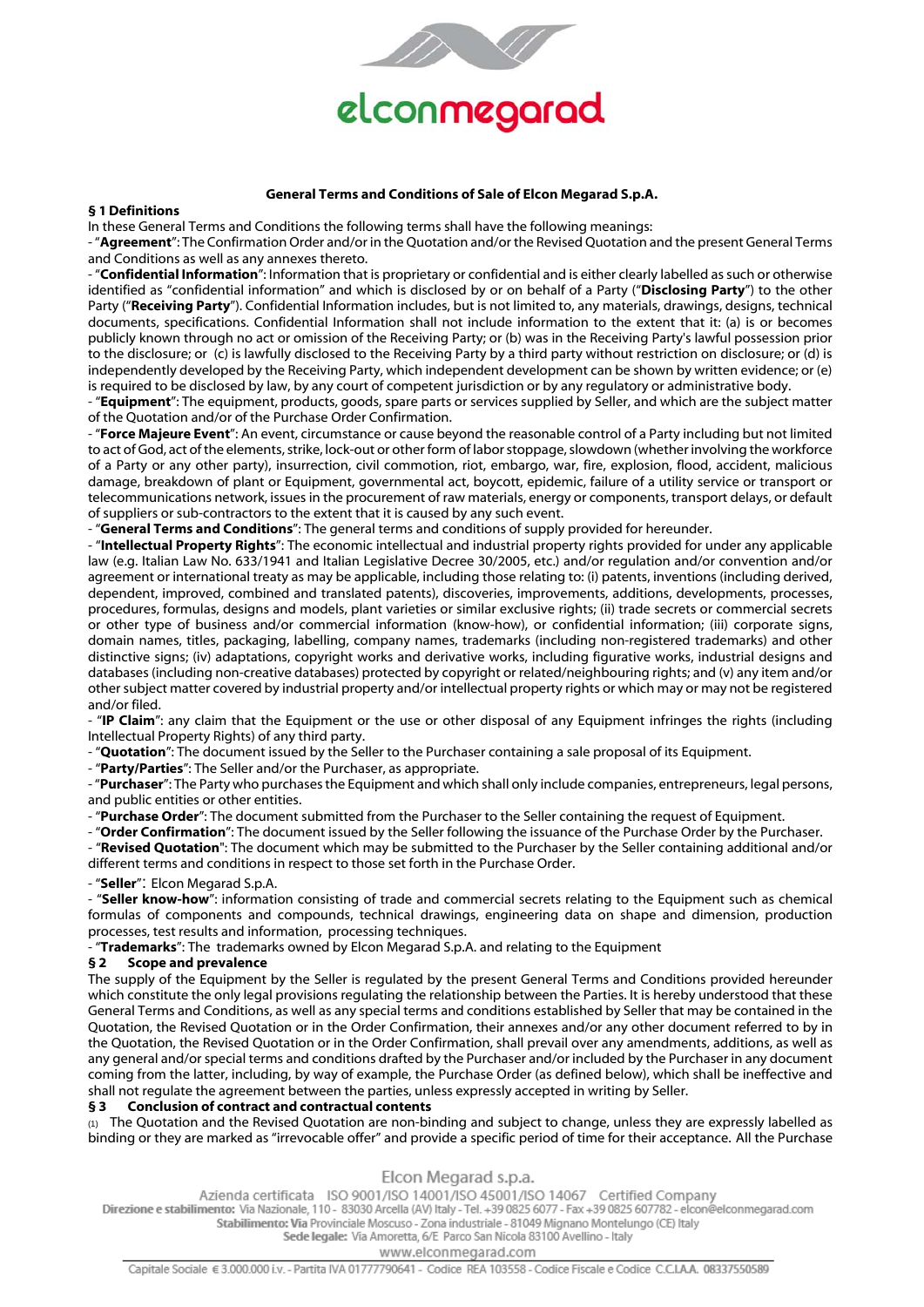

## **General Terms and Conditions of Sale of Elcon Megarad S.p.A.**

## **§ 1 Definitions**

In these General Terms and Conditions the following terms shall have the following meanings:

- "**Agreement**": The Confirmation Order and/or in the Quotation and/or the Revised Quotation and the present General Terms and Conditions as well as any annexes thereto.

- "**Confidential Information**": Information that is proprietary or confidential and is either clearly labelled as such or otherwise identified as "confidential information" and which is disclosed by or on behalf of a Party ("**Disclosing Party**") to the other Party ("**Receiving Party**"). Confidential Information includes, but is not limited to, any materials, drawings, designs, technical documents, specifications. Confidential Information shall not include information to the extent that it: (a) is or becomes publicly known through no act or omission of the Receiving Party; or (b) was in the Receiving Party's lawful possession prior to the disclosure; or (c) is lawfully disclosed to the Receiving Party by a third party without restriction on disclosure; or (d) is independently developed by the Receiving Party, which independent development can be shown by written evidence; or (e) is required to be disclosed by law, by any court of competent jurisdiction or by any regulatory or administrative body.

- "**Equipment**": The equipment, products, goods, spare parts or services supplied by Seller, and which are the subject matter of the Quotation and/or of the Purchase Order Confirmation.

- "**Force Majeure Event**": An event, circumstance or cause beyond the reasonable control of a Party including but not limited to act of God, act of the elements, strike, lock-out or other form of labor stoppage, slowdown (whether involving the workforce of a Party or any other party), insurrection, civil commotion, riot, embargo, war, fire, explosion, flood, accident, malicious damage, breakdown of plant or Equipment, governmental act, boycott, epidemic, failure of a utility service or transport or telecommunications network, issues in the procurement of raw materials, energy or components, transport delays, or default of suppliers or sub-contractors to the extent that it is caused by any such event.

- "**General Terms and Conditions**": The general terms and conditions of supply provided for hereunder.

- "**Intellectual Property Rights**": The economic intellectual and industrial property rights provided for under any applicable law (e.g. Italian Law No. 633/1941 and Italian Legislative Decree 30/2005, etc.) and/or regulation and/or convention and/or agreement or international treaty as may be applicable, including those relating to: (i) patents, inventions (including derived, dependent, improved, combined and translated patents), discoveries, improvements, additions, developments, processes, procedures, formulas, designs and models, plant varieties or similar exclusive rights; (ii) trade secrets or commercial secrets or other type of business and/or commercial information (know-how), or confidential information; (iii) corporate signs, domain names, titles, packaging, labelling, company names, trademarks (including non-registered trademarks) and other distinctive signs; (iv) adaptations, copyright works and derivative works, including figurative works, industrial designs and databases (including non-creative databases) protected by copyright or related/neighbouring rights; and (v) any item and/or other subject matter covered by industrial property and/or intellectual property rights or which may or may not be registered and/or filed.

- "**IP Claim**": any claim that the Equipment or the use or other disposal of any Equipment infringes the rights (including Intellectual Property Rights) of any third party.

- "**Quotation**": The document issued by the Seller to the Purchaser containing a sale proposal of its Equipment.

- "**Party/Parties**": The Seller and/or the Purchaser, as appropriate.

- "**Purchaser**": The Party who purchases the Equipment and which shall only include companies, entrepreneurs, legal persons, and public entities or other entities.

- "**Purchase Order**": The document submitted from the Purchaser to the Seller containing the request of Equipment.

- "**Order Confirmation**": The document issued by the Seller following the issuance of the Purchase Order by the Purchaser. - "**Revised Quotation**": The document which may be submitted to the Purchaser by the Seller containing additional and/or different terms and conditions in respect to those set forth in the Purchase Order.

- "**Seller**": Elcon Megarad S.p.A.

- "**Seller know-how**": information consisting of trade and commercial secrets relating to the Equipment such as chemical formulas of components and compounds, technical drawings, engineering data on shape and dimension, production processes, test results and information, processing techniques.

- "**Trademarks**": The trademarks owned by Elcon Megarad S.p.A. and relating to the Equipment

## **§ 2 Scope and prevalence**

The supply of the Equipment by the Seller is regulated by the present General Terms and Conditions provided hereunder which constitute the only legal provisions regulating the relationship between the Parties. It is hereby understood that these General Terms and Conditions, as well as any special terms and conditions established by Seller that may be contained in the Quotation, the Revised Quotation or in the Order Confirmation, their annexes and/or any other document referred to by in the Quotation, the Revised Quotation or in the Order Confirmation, shall prevail over any amendments, additions, as well as any general and/or special terms and conditions drafted by the Purchaser and/or included by the Purchaser in any document coming from the latter, including, by way of example, the Purchase Order (as defined below), which shall be ineffective and shall not regulate the agreement between the parties, unless expressly accepted in writing by Seller.

## **§ 3 Conclusion of contract and contractual contents**

(1) The Quotation and the Revised Quotation are non-binding and subject to change, unless they are expressly labelled as binding or they are marked as "irrevocable offer" and provide a specific period of time for their acceptance. All the Purchase

# Elcon Megarad s.p.a.

Azienda certificata ISO 9001/ISO 14001/ISO 45001/ISO 14067 Certified Company Direzione e stabilimento: Via Nazionale, 110 - 83030 Arcella (AV) Italy - Tel. +39 0825 6077 - Fax +39 0825 607782 - elcon@elconmegarad.com Stabilimento: Via Provinciale Moscuso - Zona industriale - 81049 Mignano Montelungo (CE) Italy Sede legale: Via Amoretta, 6/E Parco San Nicola 83100 Avellino - Italy

# www.elconmegarad.com

Capitale Sociale € 3.000.000 i.v. - Partita IVA 01777790641 - Codice REA 103558 - Codice Fiscale e Codice C.C.I.A.A. 08337550589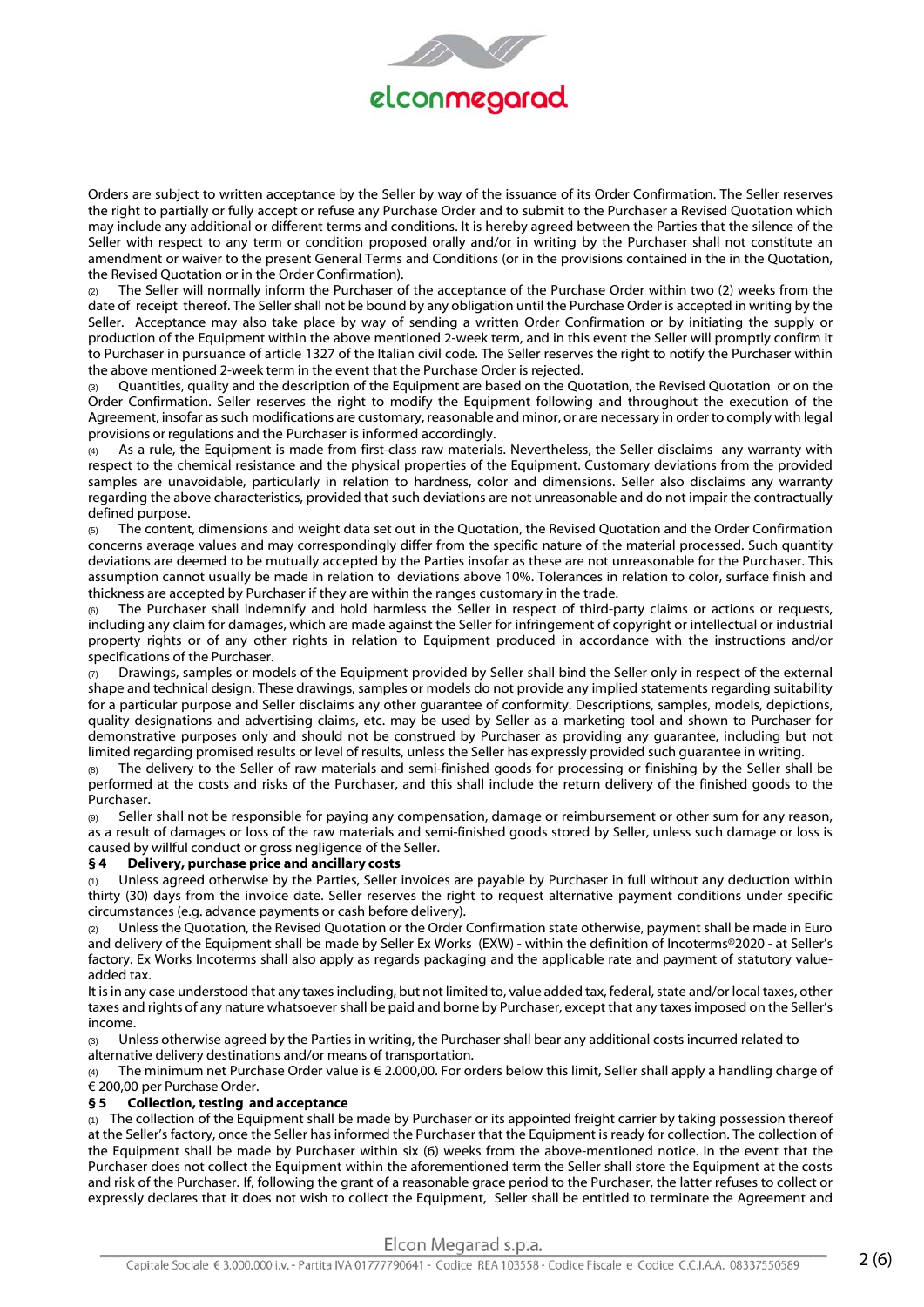

Orders are subject to written acceptance by the Seller by way of the issuance of its Order Confirmation. The Seller reserves the right to partially or fully accept or refuse any Purchase Order and to submit to the Purchaser a Revised Quotation which may include any additional or different terms and conditions. It is hereby agreed between the Parties that the silence of the Seller with respect to any term or condition proposed orally and/or in writing by the Purchaser shall not constitute an amendment or waiver to the present General Terms and Conditions (or in the provisions contained in the in the Quotation, the Revised Quotation or in the Order Confirmation).

(2) The Seller will normally inform the Purchaser of the acceptance of the Purchase Order within two (2) weeks from the date of receipt thereof. The Seller shall not be bound by any obligation until the Purchase Order is accepted in writing by the Seller. Acceptance may also take place by way of sending a written Order Confirmation or by initiating the supply or production of the Equipment within the above mentioned 2-week term, and in this event the Seller will promptly confirm it to Purchaser in pursuance of article 1327 of the Italian civil code. The Seller reserves the right to notify the Purchaser within the above mentioned 2-week term in the event that the Purchase Order is rejected.

Quantities, quality and the description of the Equipment are based on the Quotation, the Revised Quotation or on the Order Confirmation. Seller reserves the right to modify the Equipment following and throughout the execution of the Agreement, insofar as such modifications are customary, reasonable and minor, or are necessary in order to comply with legal provisions or regulations and the Purchaser is informed accordingly.

As a rule, the Equipment is made from first-class raw materials. Nevertheless, the Seller disclaims any warranty with respect to the chemical resistance and the physical properties of the Equipment. Customary deviations from the provided samples are unavoidable, particularly in relation to hardness, color and dimensions. Seller also disclaims any warranty regarding the above characteristics, provided that such deviations are not unreasonable and do not impair the contractually defined purpose.

The content, dimensions and weight data set out in the Quotation, the Revised Quotation and the Order Confirmation concerns average values and may correspondingly differ from the specific nature of the material processed. Such quantity deviations are deemed to be mutually accepted by the Parties insofar as these are not unreasonable for the Purchaser. This assumption cannot usually be made in relation to deviations above 10%. Tolerances in relation to color, surface finish and thickness are accepted by Purchaser if they are within the ranges customary in the trade.

The Purchaser shall indemnify and hold harmless the Seller in respect of third-party claims or actions or requests, including any claim for damages, which are made against the Seller for infringement of copyright or intellectual or industrial property rights or of any other rights in relation to Equipment produced in accordance with the instructions and/or specifications of the Purchaser.

(7) Drawings, samples or models of the Equipment provided by Seller shall bind the Seller only in respect of the external shape and technical design. These drawings, samples or models do not provide any implied statements regarding suitability for a particular purpose and Seller disclaims any other guarantee of conformity. Descriptions, samples, models, depictions, quality designations and advertising claims, etc. may be used by Seller as a marketing tool and shown to Purchaser for demonstrative purposes only and should not be construed by Purchaser as providing any guarantee, including but not limited regarding promised results or level of results, unless the Seller has expressly provided such guarantee in writing.

(8) The delivery to the Seller of raw materials and semi-finished goods for processing or finishing by the Seller shall be performed at the costs and risks of the Purchaser, and this shall include the return delivery of the finished goods to the Purchaser.

(9) Seller shall not be responsible for paying any compensation, damage or reimbursement or other sum for any reason, as a result of damages or loss of the raw materials and semi-finished goods stored by Seller, unless such damage or loss is caused by willful conduct or gross negligence of the Seller.

# **§ 4 Delivery, purchase price and ancillary costs**

(1) Unless agreed otherwise by the Parties, Seller invoices are payable by Purchaser in full without any deduction within thirty (30) days from the invoice date. Seller reserves the right to request alternative payment conditions under specific circumstances (e.g. advance payments or cash before delivery).

(2) Unless the Quotation, the Revised Quotation or the Order Confirmation state otherwise, payment shall be made in Euro and delivery of the Equipment shall be made by Seller Ex Works (EXW) - within the definition of Incoterms®2020 - at Seller's factory. Ex Works Incoterms shall also apply as regards packaging and the applicable rate and payment of statutory valueadded tax.

It is in any case understood that any taxes including, but not limited to, value added tax, federal, state and/or local taxes, other taxes and rights of any nature whatsoever shall be paid and borne by Purchaser, except that any taxes imposed on the Seller's income.

(3) Unless otherwise agreed by the Parties in writing, the Purchaser shall bear any additional costs incurred related to alternative delivery destinations and/or means of transportation.

(4) The minimum net Purchase Order value is € 2.000,00. For orders below this limit, Seller shall apply a handling charge of € 200,00 per Purchase Order.

# **§ 5 Collection, testing and acceptance**

 $(1)$  The collection of the Equipment shall be made by Purchaser or its appointed freight carrier by taking possession thereof at the Seller's factory, once the Seller has informed the Purchaser that the Equipment is ready for collection. The collection of the Equipment shall be made by Purchaser within six (6) weeks from the above-mentioned notice. In the event that the Purchaser does not collect the Equipment within the aforementioned term the Seller shall store the Equipment at the costs and risk of the Purchaser. If, following the grant of a reasonable grace period to the Purchaser, the latter refuses to collect or expressly declares that it does not wish to collect the Equipment, Seller shall be entitled to terminate the Agreement and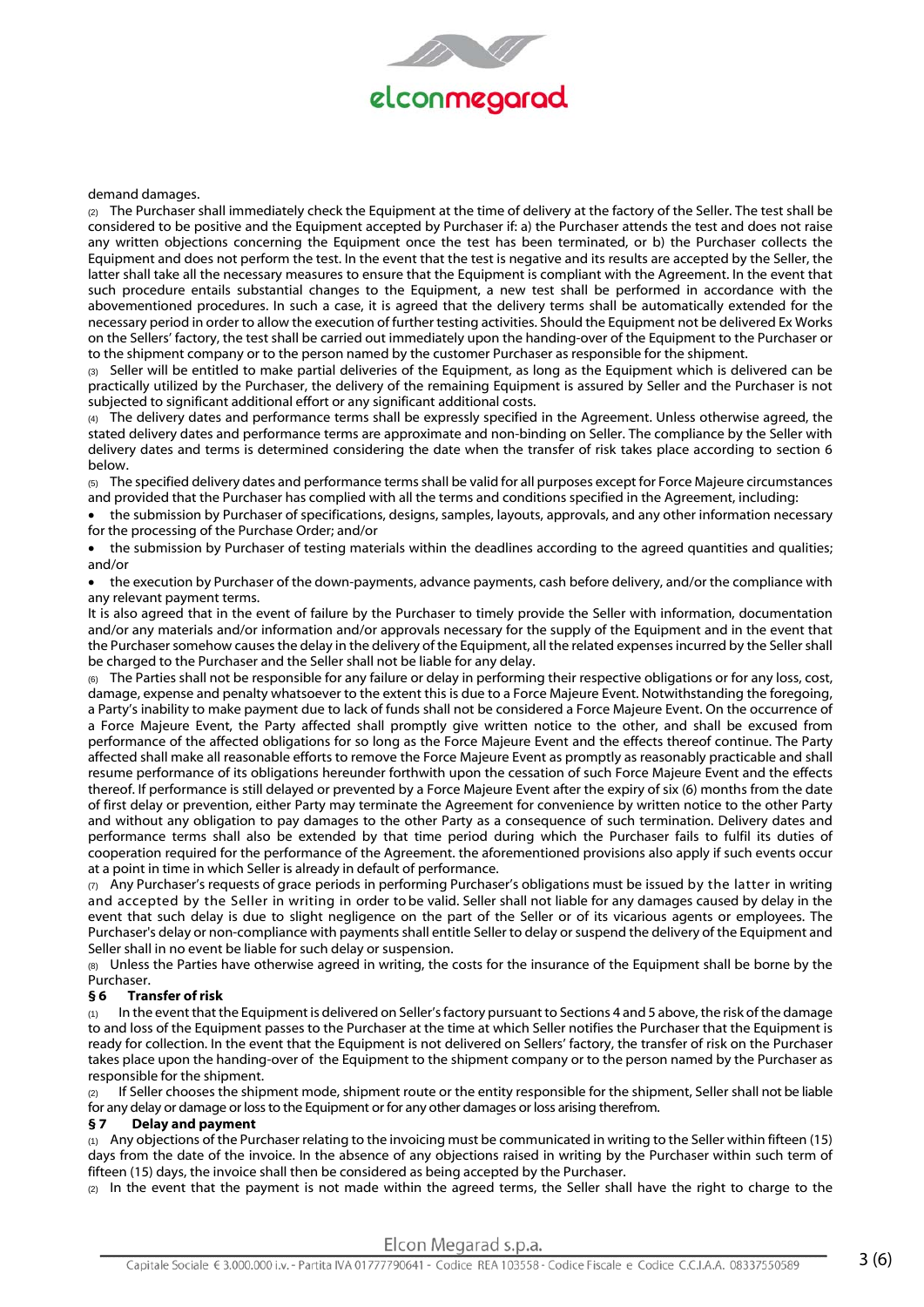

## demand damages.

(2) The Purchaser shall immediately check the Equipment at the time of delivery at the factory of the Seller. The test shall be considered to be positive and the Equipment accepted by Purchaser if: a) the Purchaser attends the test and does not raise any written objections concerning the Equipment once the test has been terminated, or b) the Purchaser collects the Equipment and does not perform the test. In the event that the test is negative and its results are accepted by the Seller, the latter shall take all the necessary measures to ensure that the Equipment is compliant with the Agreement. In the event that such procedure entails substantial changes to the Equipment, a new test shall be performed in accordance with the abovementioned procedures. In such a case, it is agreed that the delivery terms shall be automatically extended for the necessary period in order to allow the execution of further testing activities. Should the Equipment not be delivered Ex Works on the Sellers' factory, the test shall be carried out immediately upon the handing-over of the Equipment to the Purchaser or to the shipment company or to the person named by the customer Purchaser as responsible for the shipment.

(3) Seller will be entitled to make partial deliveries of the Equipment, as long as the Equipment which is delivered can be practically utilized by the Purchaser, the delivery of the remaining Equipment is assured by Seller and the Purchaser is not subjected to significant additional effort or any significant additional costs.

(4) The delivery dates and performance terms shall be expressly specified in the Agreement. Unless otherwise agreed, the stated delivery dates and performance terms are approximate and non-binding on Seller. The compliance by the Seller with delivery dates and terms is determined considering the date when the transfer of risk takes place according to section 6 below.

(5) The specified delivery dates and performance terms shall be valid for all purposes except for Force Majeure circumstances and provided that the Purchaser has complied with all the terms and conditions specified in the Agreement, including:

 the submission by Purchaser of specifications, designs, samples, layouts, approvals, and any other information necessary for the processing of the Purchase Order; and/or

 the submission by Purchaser of testing materials within the deadlines according to the agreed quantities and qualities; and/or

 the execution by Purchaser of the down-payments, advance payments, cash before delivery, and/or the compliance with any relevant payment terms.

It is also agreed that in the event of failure by the Purchaser to timely provide the Seller with information, documentation and/or any materials and/or information and/or approvals necessary for the supply of the Equipment and in the event that the Purchaser somehow causes the delay in the delivery of the Equipment, all the related expenses incurred by the Seller shall be charged to the Purchaser and the Seller shall not be liable for any delay.

(6) The Parties shall not be responsible for any failure or delay in performing their respective obligations or for any loss, cost, damage, expense and penalty whatsoever to the extent this is due to a Force Majeure Event. Notwithstanding the foregoing, a Party's inability to make payment due to lack of funds shall not be considered a Force Majeure Event. On the occurrence of a Force Majeure Event, the Party affected shall promptly give written notice to the other, and shall be excused from performance of the affected obligations for so long as the Force Majeure Event and the effects thereof continue. The Party affected shall make all reasonable efforts to remove the Force Majeure Event as promptly as reasonably practicable and shall resume performance of its obligations hereunder forthwith upon the cessation of such Force Majeure Event and the effects thereof. If performance is still delayed or prevented by a Force Majeure Event after the expiry of six (6) months from the date of first delay or prevention, either Party may terminate the Agreement for convenience by written notice to the other Party and without any obligation to pay damages to the other Party as a consequence of such termination. Delivery dates and performance terms shall also be extended by that time period during which the Purchaser fails to fulfil its duties of cooperation required for the performance of the Agreement. the aforementioned provisions also apply if such events occur at a point in time in which Seller is already in default of performance.

 $(7)$  Any Purchaser's requests of grace periods in performing Purchaser's obligations must be issued by the latter in writing and accepted by the Seller in writing in order to be valid. Seller shall not liable for any damages caused by delay in the event that such delay is due to slight negligence on the part of the Seller or of its vicarious agents or employees. The Purchaser's delay or non-compliance with payments shall entitle Seller to delay or suspend the delivery of the Equipment and Seller shall in no event be liable for such delay or suspension.

(8) Unless the Parties have otherwise agreed in writing, the costs for the insurance of the Equipment shall be borne by the Purchaser.

## **§ 6 Transfer of risk**

In the event that the Equipment is delivered on Seller's factory pursuant to Sections 4 and 5 above, the risk of the damage to and loss of the Equipment passes to the Purchaser at the time at which Seller notifies the Purchaser that the Equipment is ready for collection. In the event that the Equipment is not delivered on Sellers' factory, the transfer of risk on the Purchaser takes place upon the handing-over of the Equipment to the shipment company or to the person named by the Purchaser as responsible for the shipment.

If Seller chooses the shipment mode, shipment route or the entity responsible for the shipment, Seller shall not be liable for any delay or damage or loss to the Equipment or for any other damages or loss arising therefrom.

## **§ 7 Delay and payment**

(1) Any objections of the Purchaser relating to the invoicing must be communicated in writing to the Seller within fifteen (15) days from the date of the invoice. In the absence of any objections raised in writing by the Purchaser within such term of fifteen (15) days, the invoice shall then be considered as being accepted by the Purchaser.

(2) In the event that the payment is not made within the agreed terms, the Seller shall have the right to charge to the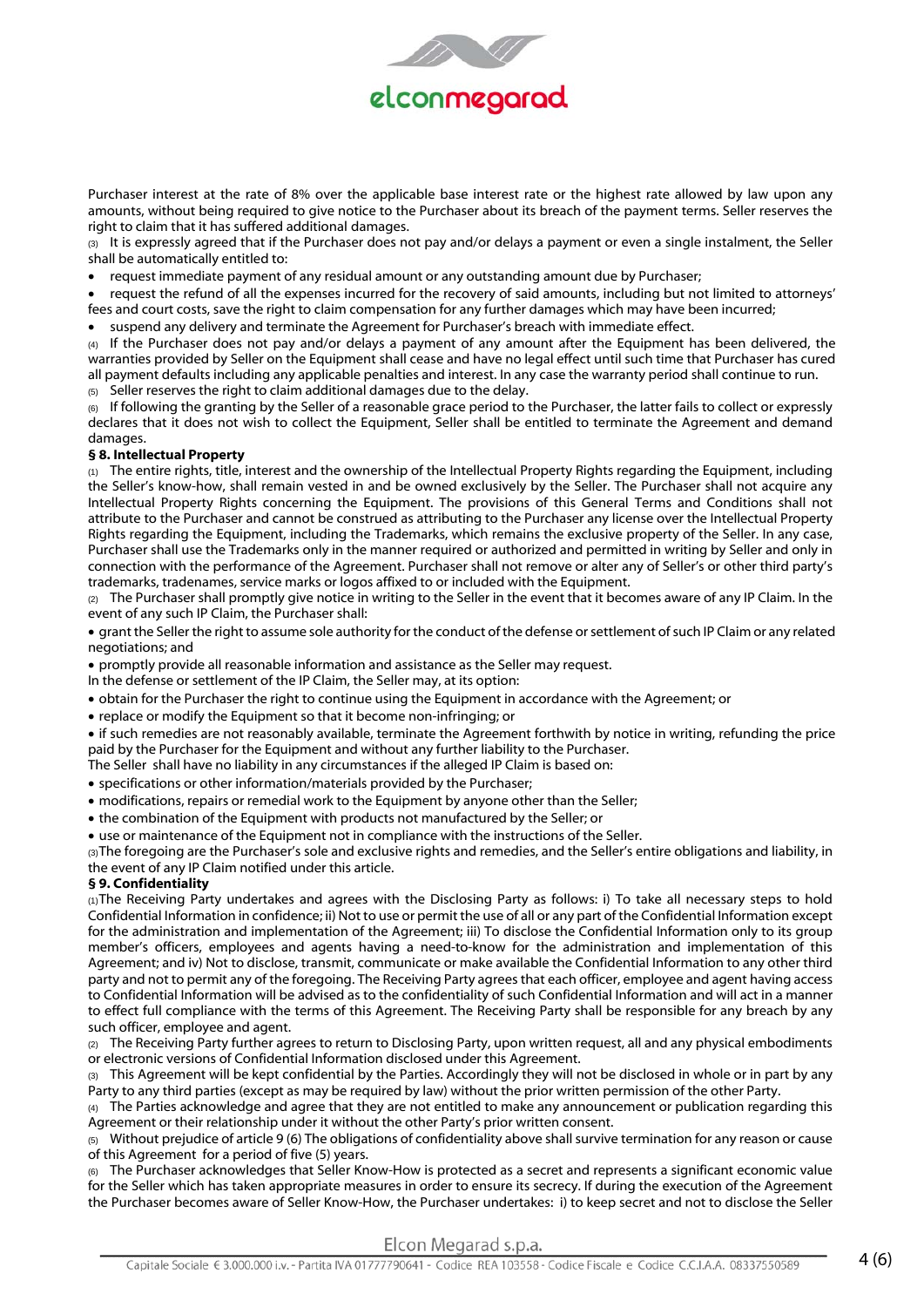

Purchaser interest at the rate of 8% over the applicable base interest rate or the highest rate allowed by law upon any amounts, without being required to give notice to the Purchaser about its breach of the payment terms. Seller reserves the right to claim that it has suffered additional damages.

(3) It is expressly agreed that if the Purchaser does not pay and/or delays a payment or even a single instalment, the Seller shall be automatically entitled to:

request immediate payment of any residual amount or any outstanding amount due by Purchaser;

 request the refund of all the expenses incurred for the recovery of said amounts, including but not limited to attorneys' fees and court costs, save the right to claim compensation for any further damages which may have been incurred;

suspend any delivery and terminate the Agreement for Purchaser's breach with immediate effect.

(4) If the Purchaser does not pay and/or delays a payment of any amount after the Equipment has been delivered, the warranties provided by Seller on the Equipment shall cease and have no legal effect until such time that Purchaser has cured all payment defaults including any applicable penalties and interest. In any case the warranty period shall continue to run.

(5) Seller reserves the right to claim additional damages due to the delay.

(6) If following the granting by the Seller of a reasonable grace period to the Purchaser, the latter fails to collect or expressly declares that it does not wish to collect the Equipment, Seller shall be entitled to terminate the Agreement and demand damages.

# **§ 8. Intellectual Property**

(1) The entire rights, title, interest and the ownership of the Intellectual Property Rights regarding the Equipment, including the Seller's know-how, shall remain vested in and be owned exclusively by the Seller. The Purchaser shall not acquire any Intellectual Property Rights concerning the Equipment. The provisions of this General Terms and Conditions shall not attribute to the Purchaser and cannot be construed as attributing to the Purchaser any license over the Intellectual Property Rights regarding the Equipment, including the Trademarks, which remains the exclusive property of the Seller. In any case, Purchaser shall use the Trademarks only in the manner required or authorized and permitted in writing by Seller and only in connection with the performance of the Agreement. Purchaser shall not remove or alter any of Seller's or other third party's trademarks, tradenames, service marks or logos affixed to or included with the Equipment.

(2) The Purchaser shall promptly give notice in writing to the Seller in the event that it becomes aware of any IP Claim. In the event of any such IP Claim, the Purchaser shall:

 grant the Seller the right to assume sole authority for the conduct of the defense or settlement of such IP Claim or any related negotiations; and

promptly provide all reasonable information and assistance as the Seller may request.

In the defense or settlement of the IP Claim, the Seller may, at its option:

obtain for the Purchaser the right to continue using the Equipment in accordance with the Agreement; or

replace or modify the Equipment so that it become non-infringing; or

 if such remedies are not reasonably available, terminate the Agreement forthwith by notice in writing, refunding the price paid by the Purchaser for the Equipment and without any further liability to the Purchaser.

The Seller shall have no liability in any circumstances if the alleged IP Claim is based on:

specifications or other information/materials provided by the Purchaser;

modifications, repairs or remedial work to the Equipment by anyone other than the Seller;

the combination of the Equipment with products not manufactured by the Seller; or

use or maintenance of the Equipment not in compliance with the instructions of the Seller.

(3) The foregoing are the Purchaser's sole and exclusive rights and remedies, and the Seller's entire obligations and liability, in the event of any IP Claim notified under this article.

# **§ 9. Confidentiality**

(1) The Receiving Party undertakes and agrees with the Disclosing Party as follows: i) To take all necessary steps to hold Confidential Information in confidence; ii) Not to use or permit the use of all or any part of the Confidential Information except for the administration and implementation of the Agreement; iii) To disclose the Confidential Information only to its group member's officers, employees and agents having a need-to-know for the administration and implementation of this Agreement; and iv) Not to disclose, transmit, communicate or make available the Confidential Information to any other third party and not to permit any of the foregoing. The Receiving Party agrees that each officer, employee and agent having access to Confidential Information will be advised as to the confidentiality of such Confidential Information and will act in a manner to effect full compliance with the terms of this Agreement. The Receiving Party shall be responsible for any breach by any such officer, employee and agent.

(2) The Receiving Party further agrees to return to Disclosing Party, upon written request, all and any physical embodiments or electronic versions of Confidential Information disclosed under this Agreement.

(3) This Agreement will be kept confidential by the Parties. Accordingly they will not be disclosed in whole or in part by any Party to any third parties (except as may be required by law) without the prior written permission of the other Party.

 $(4)$  The Parties acknowledge and agree that they are not entitled to make any announcement or publication regarding this Agreement or their relationship under it without the other Party's prior written consent.

 $(5)$  Without prejudice of article 9 (6) The obligations of confidentiality above shall survive termination for any reason or cause of this Agreement for a period of five (5) years.

(6) The Purchaser acknowledges that Seller Know-How is protected as a secret and represents a significant economic value for the Seller which has taken appropriate measures in order to ensure its secrecy. If during the execution of the Agreement the Purchaser becomes aware of Seller Know-How, the Purchaser undertakes: i) to keep secret and not to disclose the Seller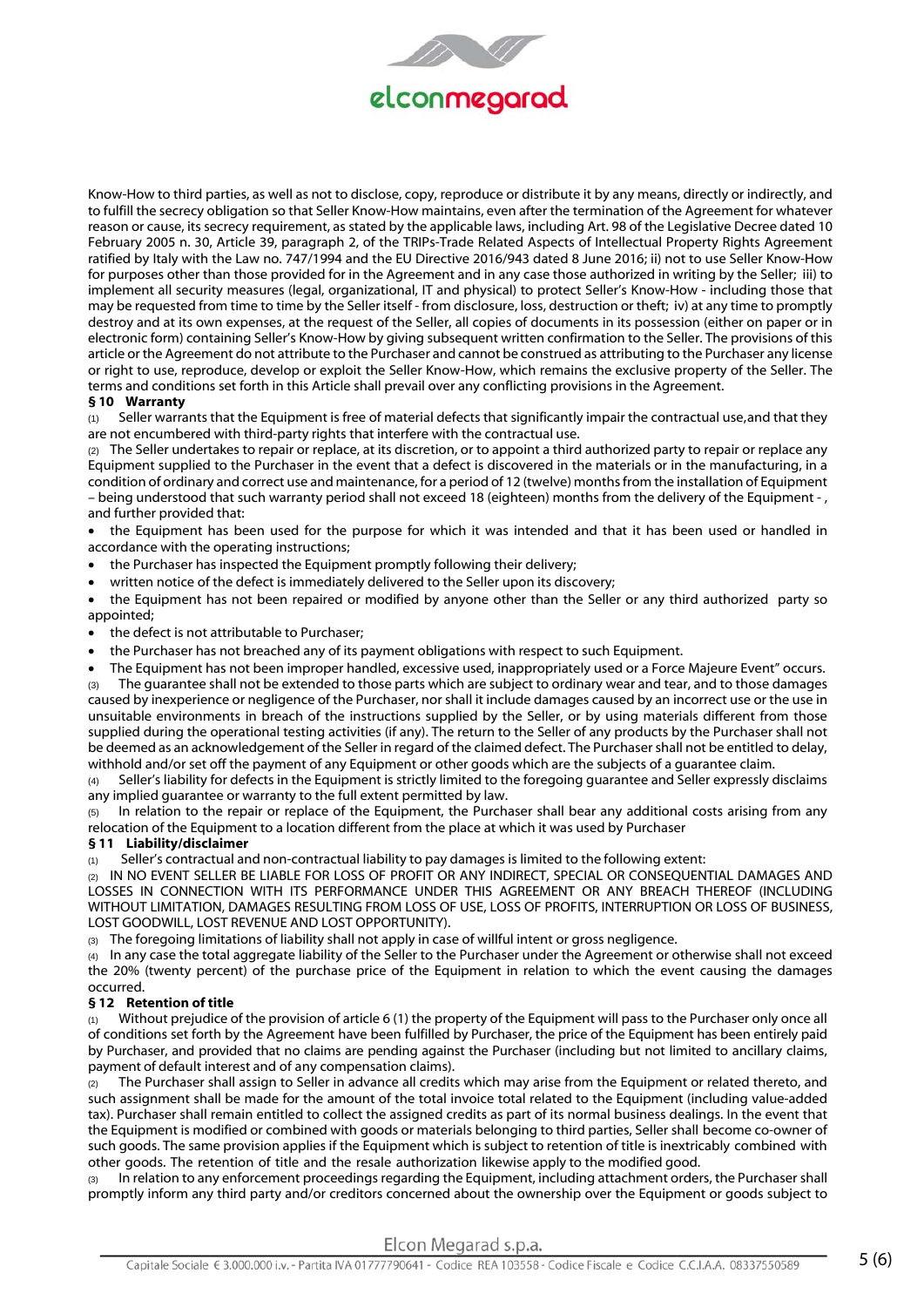

Know-How to third parties, as well as not to disclose, copy, reproduce or distribute it by any means, directly or indirectly, and to fulfill the secrecy obligation so that Seller Know-How maintains, even after the termination of the Agreement for whatever reason or cause, its secrecy requirement, as stated by the applicable laws, including Art. 98 of the Legislative Decree dated 10 February 2005 n. 30, Article 39, paragraph 2, of the TRIPs-Trade Related Aspects of Intellectual Property Rights Agreement ratified by Italy with the Law no. 747/1994 and the EU Directive 2016/943 dated 8 June 2016; ii) not to use Seller Know-How for purposes other than those provided for in the Agreement and in any case those authorized in writing by the Seller; iii) to implement all security measures (legal, organizational, IT and physical) to protect Seller's Know-How - including those that may be requested from time to time by the Seller itself - from disclosure, loss, destruction or theft; iv) at any time to promptly destroy and at its own expenses, at the request of the Seller, all copies of documents in its possession (either on paper or in electronic form) containing Seller's Know-How by giving subsequent written confirmation to the Seller. The provisions of this article or the Agreement do not attribute to the Purchaser and cannot be construed as attributing to the Purchaser any license or right to use, reproduce, develop or exploit the Seller Know-How, which remains the exclusive property of the Seller. The terms and conditions set forth in this Article shall prevail over any conflicting provisions in the Agreement.

# **§ 10 Warranty**

(1) Seller warrants that the Equipment is free of material defects that significantly impair the contractual use, and that they are not encumbered with third-party rights that interfere with the contractual use.

 $(2)$  The Seller undertakes to repair or replace, at its discretion, or to appoint a third authorized party to repair or replace any Equipment supplied to the Purchaser in the event that a defect is discovered in the materials or in the manufacturing, in a condition of ordinary and correct use and maintenance, for a period of 12 (twelve) months from the installation of Equipment – being understood that such warranty period shall not exceed 18 (eighteen) months from the delivery of the Equipment - , and further provided that:

 the Equipment has been used for the purpose for which it was intended and that it has been used or handled in accordance with the operating instructions;

- the Purchaser has inspected the Equipment promptly following their delivery;
- written notice of the defect is immediately delivered to the Seller upon its discovery;

 the Equipment has not been repaired or modified by anyone other than the Seller or any third authorized party so appointed;

- the defect is not attributable to Purchaser;
- the Purchaser has not breached any of its payment obligations with respect to such Equipment.
- The Equipment has not been improper handled, excessive used, inappropriately used or a Force Majeure Event" occurs.

(3) The guarantee shall not be extended to those parts which are subject to ordinary wear and tear, and to those damages caused by inexperience or negligence of the Purchaser, nor shall it include damages caused by an incorrect use or the use in unsuitable environments in breach of the instructions supplied by the Seller, or by using materials different from those supplied during the operational testing activities (if any). The return to the Seller of any products by the Purchaser shall not be deemed as an acknowledgement of the Seller in regard of the claimed defect. The Purchaser shall not be entitled to delay, withhold and/or set off the payment of any Equipment or other goods which are the subjects of a guarantee claim.

(4) Seller's liability for defects in the Equipment is strictly limited to the foregoing guarantee and Seller expressly disclaims any implied guarantee or warranty to the full extent permitted by law.

(5) In relation to the repair or replace of the Equipment, the Purchaser shall bear any additional costs arising from any relocation of the Equipment to a location different from the place at which it was used by Purchaser

## **§ 11 Liability/disclaimer**

(1) Seller's contractual and non-contractual liability to pay damages is limited to the following extent:

(2) IN NO EVENT SELLER BE LIABLE FOR LOSS OF PROFIT OR ANY INDIRECT, SPECIAL OR CONSEQUENTIAL DAMAGES AND LOSSES IN CONNECTION WITH ITS PERFORMANCE UNDER THIS AGREEMENT OR ANY BREACH THEREOF (INCLUDING WITHOUT LIMITATION, DAMAGES RESULTING FROM LOSS OF USE, LOSS OF PROFITS, INTERRUPTION OR LOSS OF BUSINESS, LOST GOODWILL, LOST REVENUE AND LOST OPPORTUNITY).

The foregoing limitations of liability shall not apply in case of willful intent or gross negligence.

(4) In any case the total aggregate liability of the Seller to the Purchaser under the Agreement or otherwise shall not exceed the 20% (twenty percent) of the purchase price of the Equipment in relation to which the event causing the damages occurred.

## **§ 12 Retention of title**

(1) Without prejudice of the provision of article 6 (1) the property of the Equipment will pass to the Purchaser only once all of conditions set forth by the Agreement have been fulfilled by Purchaser, the price of the Equipment has been entirely paid by Purchaser, and provided that no claims are pending against the Purchaser (including but not limited to ancillary claims, payment of default interest and of any compensation claims).

 $(2)$  The Purchaser shall assign to Seller in advance all credits which may arise from the Equipment or related thereto, and such assignment shall be made for the amount of the total invoice total related to the Equipment (including value-added tax). Purchaser shall remain entitled to collect the assigned credits as part of its normal business dealings. In the event that the Equipment is modified or combined with goods or materials belonging to third parties, Seller shall become co-owner of such goods. The same provision applies if the Equipment which is subject to retention of title is inextricably combined with other goods. The retention of title and the resale authorization likewise apply to the modified good.

In relation to any enforcement proceedings regarding the Equipment, including attachment orders, the Purchaser shall promptly inform any third party and/or creditors concerned about the ownership over the Equipment or goods subject to

Elcon Megarad s.p.a.